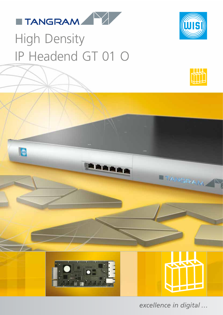

### High Density IP Headend GT 01 O **mit den entsprechenden Icons**

**Farbkodierung der WISI-Produktbereiche** 







RGB 255/236/0

0/0/100/0

**mit den entsprechenden Icons** 

RGB

RGB

**THE** 

 $\mathbf T$ 

RGB

0/58/128

175/176/52

 $\overline{\phantom{a}}$ 

0/149/126

100/0/60/0

161/9/37

RGB

CMYK

RGB

 $\overline{\phantom{a}}$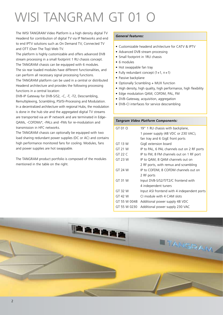# WISI TANGRAM GT 01 O

The WISI TANGRAM Video Platform is a high density digital TV Headend for contribution of digital TV via IP Networks and end to end IPTV solutions such as On Demand TV, Connected TV and OTT (Over The Top) Web TV.

The platform is highly customizable and offers advanced DVB stream processing in a small footprint 1 RU chassis concept. The TANGRAM chassis can be equipped with 6 modules. The six rear loaded modules have different functionalities, and can perform all necessary signal processing functions. The TANGRAM platform can be used in a central or distributed Headend architecture and provides the following processing functions in a central location:

DVB-IP Gateway for DVB-S/S2, -C, -T, -T2, Descrambling, Remultiplexing, Scrambling, PSI/SI-Processing and Modulation. In a decentralized architecture with regional Hubs, the modulation is done in the hub site and the aggregated digital TV streams are transported via an IP network and are terminated in Edge-QAMs, -COFDMs\*, -PALs and -FMs for re-modulation and transmission in HFC networks.

The TANGRAM chassis can optionally be equipped with two load sharing redundant power supplies (DC or AC) and contains high performance monitored fans for cooling. Modules, fans and power supplies are hot swappable.

The TANGRAM product portfolio is composed of the modules mentioned in the table on the right.

### *General features:*

- Customizable headend architecture for CATV & IPTV
- Advanced DVB stream processing
- Small footprint in 1RU chassis
- 6 modules
- Hot swappable fan tray
- Fully redundant concept (1+1, n+1)
- Passive backplane
- Optionally Scrambling + MUX function
- High density, high quality, high performance, high flexibility
- Edge modulation QAM, COFDM, PAL, FM
- DVB-Gateway, acquisition, aggregation
- DVB-CI interfaces for service descrambling

### *Tangram Video Platform Components:*

| GT 01 O      | 19" 1 RU chassis with backplane,            |
|--------------|---------------------------------------------|
|              | 1 power supply (48 VDC or 230 VAC),         |
|              | fan tray and 6 GigE front ports             |
| GT 13 W      | GigE extension board                        |
| GT 21 W      | IP to PAL, 6 PAL channels out on 2 RF ports |
| GT 22 C      | IP to FM, 8 FM channels out on 1 RF port    |
| GT 23 W      | IP to QAM, 8 QAM channels out on            |
|              | 2 RF ports, with remux and scrambling       |
| GT 24 W      | IP to COFDM, 8 COFDM channels out on        |
|              | 2 RF ports                                  |
| GT 31 W      | Input DVB-S/S2/T/T2/C frontend with         |
|              | 4 independent tuners                        |
| GT 32 W      | Input ASI frontend with 4 independent ports |
| GT 42 W      | CI module with 4 CAM slots                  |
| GT 55 W 0048 | Additional power supply 48 VDC              |
| GT 55 W 0230 | Additional power supply 230 VAC             |
|              |                                             |

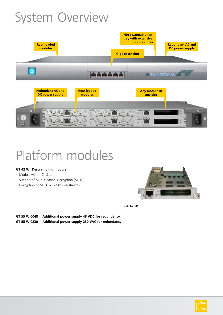## System Overview



# Platform modules

### **GT 42 W Descrambling module**

- · Module with 4 CI-slots
- · Support of Multi Channel Decryption (MCD)
- · Decryption of MPEG-2 & MPEG-4 streams



**GT 42 W**

| GT 55 W 0048 | Additional power supply 48 VDC for redundancy  |
|--------------|------------------------------------------------|
| GT 55 W 0230 | Additional power supply 230 VAC for redundancy |